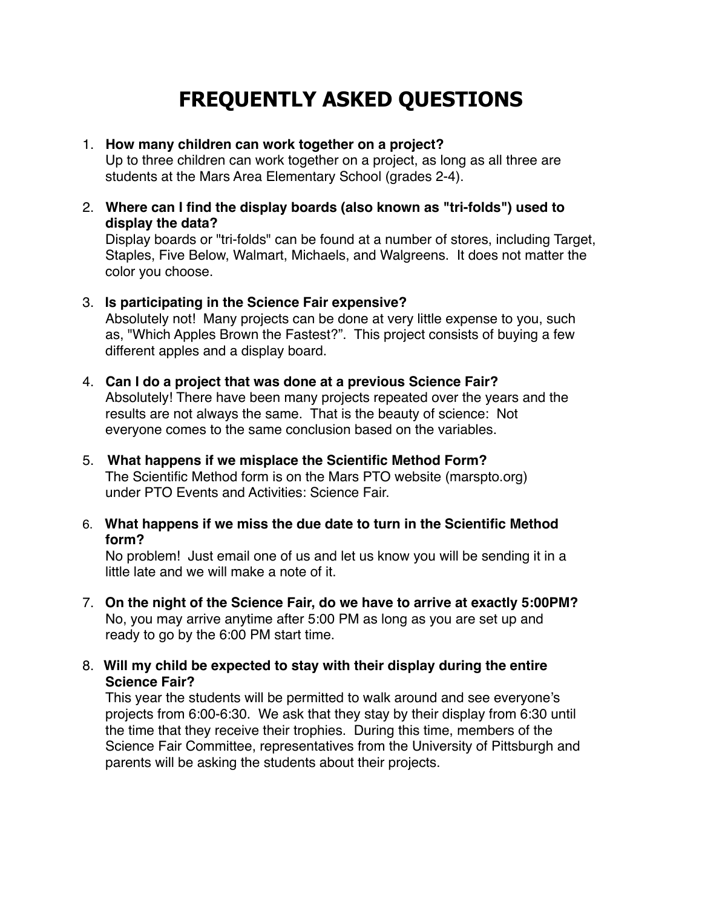# **FREQUENTLY ASKED QUESTIONS**

### 1. **How many children can work together on a project?**

 Up to three children can work together on a project, as long as all three are students at the Mars Area Elementary School (grades 2-4).

2. **Where can I find the display boards (also known as "tri-folds") used to display the data?**

Display boards or "tri-folds" can be found at a number of stores, including Target, Staples, Five Below, Walmart, Michaels, and Walgreens. It does not matter the color you choose.

#### 3. **Is participating in the Science Fair expensive?**

Absolutely not! Many projects can be done at very little expense to you, such as, "Which Apples Brown the Fastest?". This project consists of buying a few different apples and a display board.

- 4. **Can I do a project that was done at a previous Science Fair?** Absolutely! There have been many projects repeated over the years and the results are not always the same. That is the beauty of science: Not everyone comes to the same conclusion based on the variables.
- 5. **What happens if we misplace the Scientific Method Form?** The Scientific Method form is on the Mars PTO website (marspto.org) under PTO Events and Activities: Science Fair.
- 6. **What happens if we miss the due date to turn in the Scientific Method form?**

 No problem! Just email one of us and let us know you will be sending it in a little late and we will make a note of it.

- 7. **On the night of the Science Fair, do we have to arrive at exactly 5:00PM?** No, you may arrive anytime after 5:00 PM as long as you are set up and ready to go by the 6:00 PM start time.
- 8. **Will my child be expected to stay with their display during the entire Science Fair?**

This year the students will be permitted to walk around and see everyone's projects from 6:00-6:30. We ask that they stay by their display from 6:30 until the time that they receive their trophies. During this time, members of the Science Fair Committee, representatives from the University of Pittsburgh and parents will be asking the students about their projects.